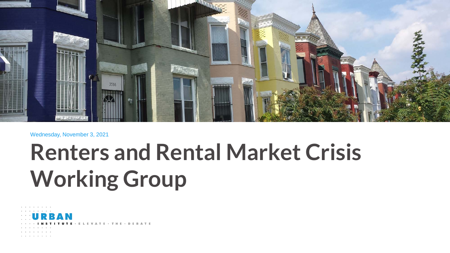

#### Wednesday, November 3, 2021

## **Renters and Rental Market Crisis Working Group**

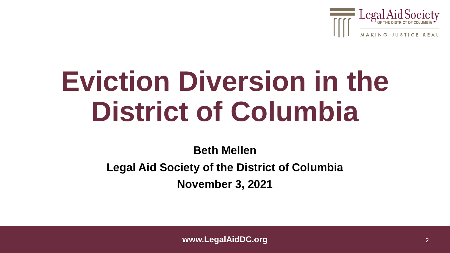

# **Eviction Diversion in the District of Columbia**

**Beth Mellen Legal Aid Society of the District of Columbia November 3, 2021**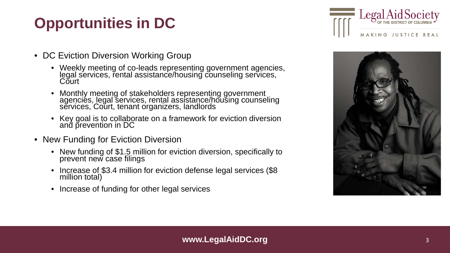### **Opportunities in DC**



- DC Eviction Diversion Working Group
	- Weekly meeting of co-leads representing government agencies, legal services, rental assistance/housing counseling services, Court
	- Monthly meeting of stakeholders representing government agencies, legal services, rental assistance/housing counseling services, Court, tenant organizers, landlords
	- Key goal is to collaborate on a framework for eviction diversion and p̃revention in DC
- New Funding for Eviction Diversion
	- New funding of \$1.5 million for eviction diversion, specifically to prevent new case filings
	- Increase of \$3.4 million for eviction defense legal services (\$8) million total)
	- Increase of funding for other legal services

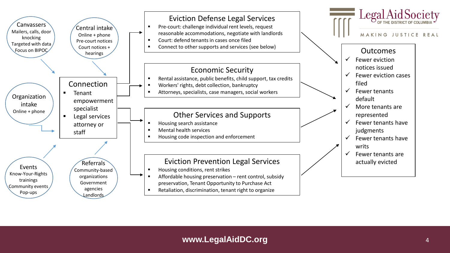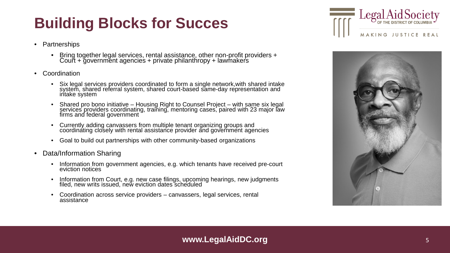### **Building Blocks for Succes**

- Partnerships
	- Bring together legal services, rental assistance, other non-profit providers + Court + government agencies + private philanthropy + lawmakers
- Coordination
	- Six legal services providers coordinated to form a single network,with shared intake system, shared referral system, shared court-based same-day representation and<br>intake system
	- Shared pro bono initiative Housing Right to Counsel Project with same six legal<br>services providers coordinating, training, mentoring cases, paired with 23 major law firms and federal government
	- Currently adding canvassers from multiple tenant organizing groups and coordinating closely with rental assistance provider and government agencies
	- Goal to build out partnerships with other community-based organizations
- Data/Information Sharing
	- Information from government agencies, e.g. which tenants have received pre-court eviction notices
	- Information from Court, e.g. new case filings, upcoming hearings, new judgments filed, new writs issued, new eviction dates scheduled
	- Coordination across service providers canvassers, legal services, rental assistance



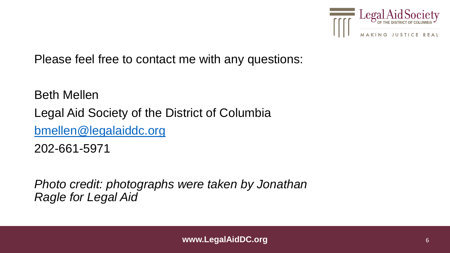

Please feel free to contact me with any questions:

Beth Mellen Legal Aid Society of the District of Columbia [bmellen@legalaiddc.org](mailto:bharrison@legalaiddc.org) 202-661-5971

*Photo credit: photographs were taken by Jonathan Ragle for Legal Aid*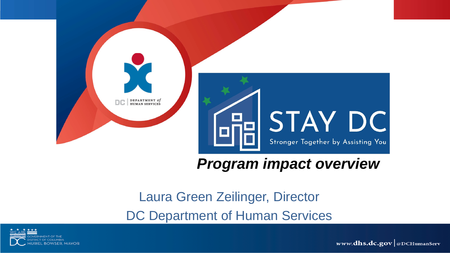

#### *Program impact overview*

Laura Green Zeilinger, Director DC Department of Human Services



www.dhs.dc.gov @DCHumanServ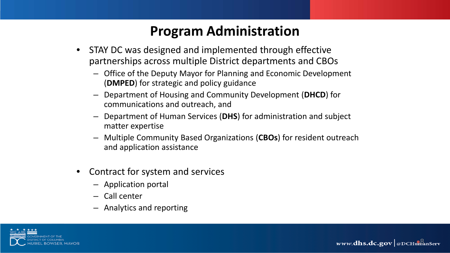#### **Program Administration**

- STAY DC was designed and implemented through effective partnerships across multiple District departments and CBOs
	- Office of the Deputy Mayor for Planning and Economic Development (**DMPED**) for strategic and policy guidance
	- Department of Housing and Community Development (**DHCD**) for communications and outreach, and
	- Department of Human Services (**DHS**) for administration and subject matter expertise
	- Multiple Community Based Organizations (**CBOs**) for resident outreach and application assistance
- Contract for system and services
	- Application portal
	- Call center
	- Analytics and reporting



www.dhs.dc.gov @DCHumanServ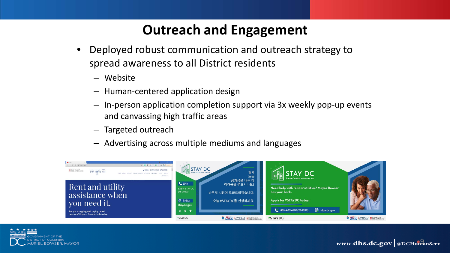#### **Outreach and Engagement**

- Deployed robust communication and outreach strategy to spread awareness to all District residents
	- Website
	- Human-centered application design
	- In-person application completion support via 3x weekly pop-up events and canvassing high traffic areas
	- Targeted outreach
	- Advertising across multiple mediums and languages



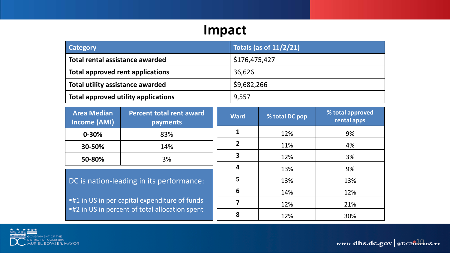#### **Impact**

| <b>Category</b>                         | <b>Totals (as of 11/2/21)</b> |
|-----------------------------------------|-------------------------------|
| Total rental assistance awarded         | \$176,475,427                 |
| <b>Total approved rent applications</b> | 36,626                        |
| <b>Total utility assistance awarded</b> | \$9,682,266                   |
| Total approved utility applications     | 9,557                         |

| <b>Area Median</b><br><b>Income (AMI)</b>            | <b>Percent total rent award</b><br>payments    | <b>Ward</b>    | % total DC pop | % total approved<br>rental apps |
|------------------------------------------------------|------------------------------------------------|----------------|----------------|---------------------------------|
| $0 - 30%$                                            | 83%                                            |                | 12%            | 9%                              |
| 30-50%                                               | 14%                                            | $\overline{2}$ | 11%            | 4%                              |
| 50-80%                                               | 3%                                             | 3              | 12%            | 3%                              |
|                                                      |                                                | 4              | 13%            | 9%                              |
| DC is nation-leading in its performance:             |                                                | 5              | 13%            | 13%                             |
|                                                      |                                                | 6              | 14%            | 12%                             |
| <b>.41 In US in per capital expenditure of funds</b> |                                                |                | 12%            | 21%                             |
|                                                      | ■#2 in US in percent of total allocation spent |                |                |                                 |

**8** 12% 30%

GOVERNMENT OF THE<br>DISTRICT OF COLUMBIA<br>MURIEL BOWSER, MAYOR

www.dhs.dc.gov | @DCHumanServ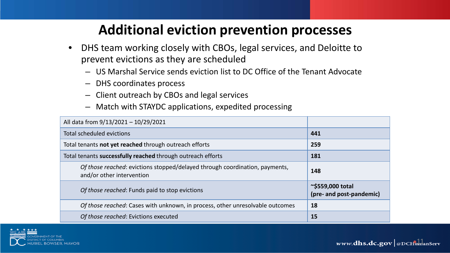#### **Additional eviction prevention processes**

- DHS team working closely with CBOs, legal services, and Deloitte to prevent evictions as they are scheduled
	- US Marshal Service sends eviction list to DC Office of the Tenant Advocate
	- DHS coordinates process
	- Client outreach by CBOs and legal services
	- Match with STAYDC applications, expedited processing

| All data from 9/13/2021 - 10/29/2021                                                                     |                                                    |
|----------------------------------------------------------------------------------------------------------|----------------------------------------------------|
| Total scheduled evictions                                                                                | 441                                                |
| Total tenants not yet reached through outreach efforts                                                   | 259                                                |
| Total tenants successfully reached through outreach efforts                                              | 181                                                |
| Of those reached: evictions stopped/delayed through coordination, payments,<br>and/or other intervention | 148                                                |
| Of those reached: Funds paid to stop evictions                                                           | $\sim$ \$559,000 total<br>(pre- and post-pandemic) |
| Of those reached: Cases with unknown, in process, other unresolvable outcomes                            | 18                                                 |
| Of those reached: Evictions executed                                                                     | 15                                                 |



www.dhs.dc.gov @DCHumanServ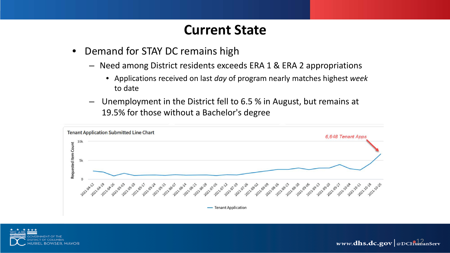#### **Current State**

- Demand for STAY DC remains high
	- Need among District residents exceeds ERA 1 & ERA 2 appropriations
		- Applications received on last *day* of program nearly matches highest *week* to date
	- Unemployment in the District fell to 6.5 % in August, but remains at 19.5% for those without a Bachelor's degree



www.dhs.dc.gov @DCHumanServ